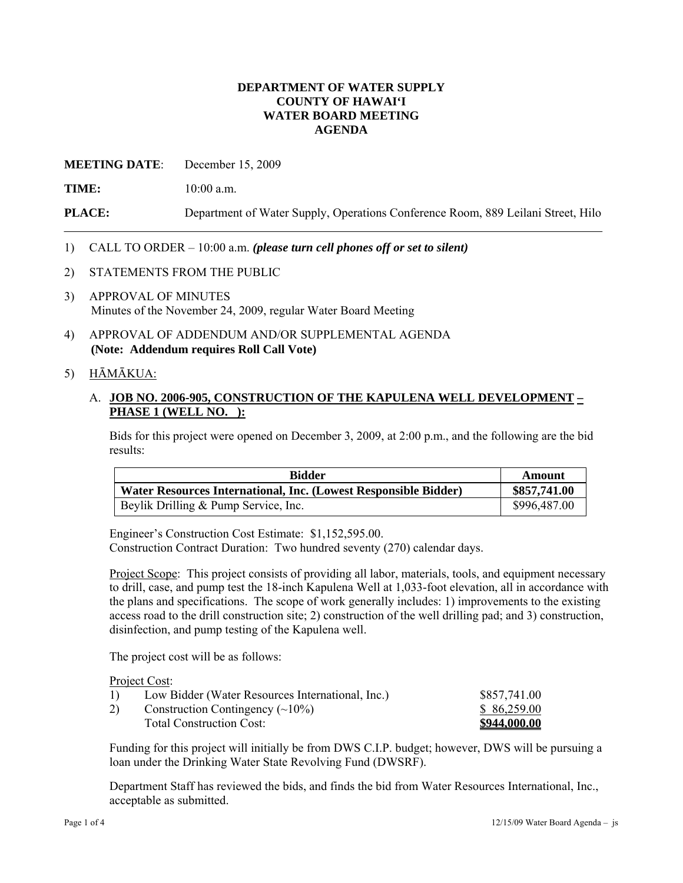## **DEPARTMENT OF WATER SUPPLY COUNTY OF HAWAI'I WATER BOARD MEETING AGENDA**

**MEETING DATE**: December 15, 2009

**TIME:** 10:00 a.m.

**PLACE:** Department of Water Supply, Operations Conference Room, 889 Leilani Street, Hilo

## 1) CALL TO ORDER – 10:00 a.m. *(please turn cell phones off or set to silent)*

- 2) STATEMENTS FROM THE PUBLIC
- 3) APPROVAL OF MINUTES Minutes of the November 24, 2009, regular Water Board Meeting
- 4) APPROVAL OF ADDENDUM AND/OR SUPPLEMENTAL AGENDA **(Note: Addendum requires Roll Call Vote)**

## 5) HĀMĀKUA:

# A. **JOB NO. 2006-905, CONSTRUCTION OF THE KAPULENA WELL DEVELOPMENT – PHASE 1 (WELL NO. ):**

Bids for this project were opened on December 3, 2009, at 2:00 p.m., and the following are the bid results:

| <b>Bidder</b>                                                   | Amount       |
|-----------------------------------------------------------------|--------------|
| Water Resources International, Inc. (Lowest Responsible Bidder) | \$857,741.00 |
| Beylik Drilling & Pump Service, Inc.                            | \$996,487.00 |

Engineer's Construction Cost Estimate: \$1,152,595.00. Construction Contract Duration: Two hundred seventy (270) calendar days.

Project Scope: This project consists of providing all labor, materials, tools, and equipment necessary to drill, case, and pump test the 18-inch Kapulena Well at 1,033-foot elevation, all in accordance with the plans and specifications. The scope of work generally includes: 1) improvements to the existing access road to the drill construction site; 2) construction of the well drilling pad; and 3) construction, disinfection, and pump testing of the Kapulena well.

The project cost will be as follows:

Project Cost:

| 1) | Low Bidder (Water Resources International, Inc.) | \$857,741.00 |
|----|--------------------------------------------------|--------------|
| 2) | Construction Contingency $(\sim 10\%)$           | \$86,259.00  |
|    | <b>Total Construction Cost:</b>                  | \$944,000.00 |

Funding for this project will initially be from DWS C.I.P. budget; however, DWS will be pursuing a loan under the Drinking Water State Revolving Fund (DWSRF).

Department Staff has reviewed the bids, and finds the bid from Water Resources International, Inc., acceptable as submitted.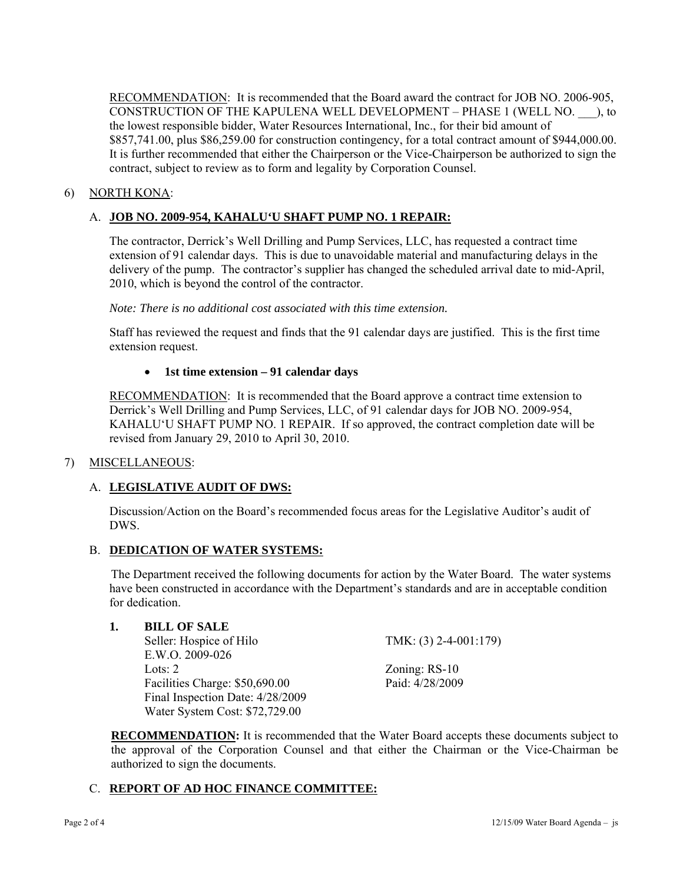RECOMMENDATION: It is recommended that the Board award the contract for JOB NO. 2006-905, CONSTRUCTION OF THE KAPULENA WELL DEVELOPMENT – PHASE 1 (WELL NO. \_\_\_), to the lowest responsible bidder, Water Resources International, Inc., for their bid amount of \$857,741.00, plus \$86,259.00 for construction contingency, for a total contract amount of \$944,000.00. It is further recommended that either the Chairperson or the Vice-Chairperson be authorized to sign the contract, subject to review as to form and legality by Corporation Counsel.

# 6) NORTH KONA:

# A. **JOB NO. 2009-954, KAHALU'U SHAFT PUMP NO. 1 REPAIR:**

The contractor, Derrick's Well Drilling and Pump Services, LLC, has requested a contract time extension of 91 calendar days. This is due to unavoidable material and manufacturing delays in the delivery of the pump. The contractor's supplier has changed the scheduled arrival date to mid-April, 2010, which is beyond the control of the contractor.

*Note: There is no additional cost associated with this time extension.* 

Staff has reviewed the request and finds that the 91 calendar days are justified. This is the first time extension request.

## **1st time extension – 91 calendar days**

RECOMMENDATION: It is recommended that the Board approve a contract time extension to Derrick's Well Drilling and Pump Services, LLC, of 91 calendar days for JOB NO. 2009-954, KAHALU'U SHAFT PUMP NO. 1 REPAIR. If so approved, the contract completion date will be revised from January 29, 2010 to April 30, 2010.

## 7) MISCELLANEOUS:

# A. **LEGISLATIVE AUDIT OF DWS:**

Discussion/Action on the Board's recommended focus areas for the Legislative Auditor's audit of DWS.

# B. **DEDICATION OF WATER SYSTEMS:**

The Department received the following documents for action by the Water Board. The water systems have been constructed in accordance with the Department's standards and are in acceptable condition for dedication.

## **1. BILL OF SALE**

Seller: Hospice of Hilo TMK: (3) 2-4-001:179) E.W.O. 2009-026 Lots: 2 Zoning: RS-10 Facilities Charge: \$50,690.00 Paid: 4/28/2009 Final Inspection Date: 4/28/2009 Water System Cost: \$72,729.00

**RECOMMENDATION:** It is recommended that the Water Board accepts these documents subject to the approval of the Corporation Counsel and that either the Chairman or the Vice-Chairman be authorized to sign the documents.

## C. **REPORT OF AD HOC FINANCE COMMITTEE:**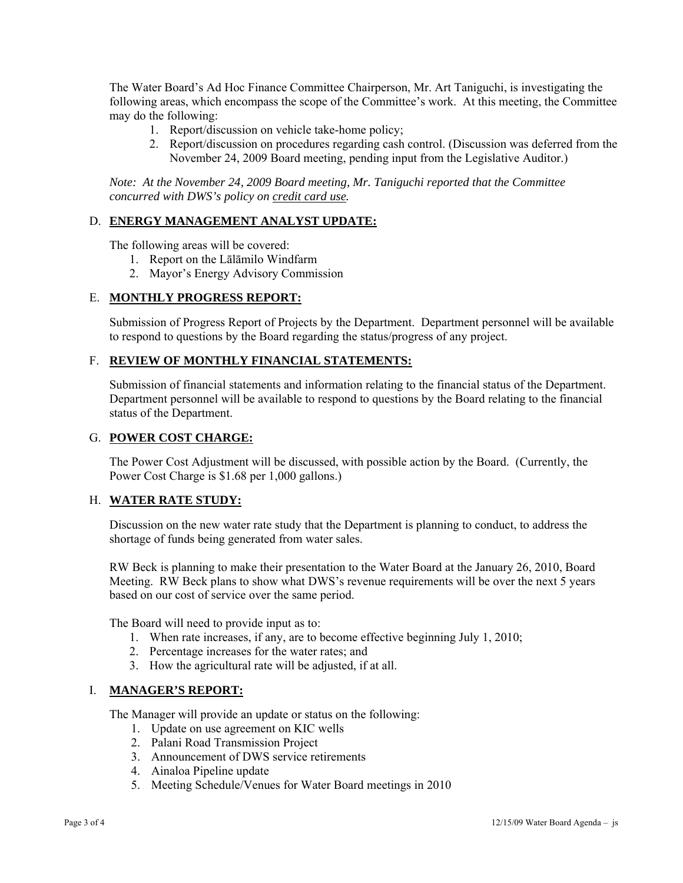The Water Board's Ad Hoc Finance Committee Chairperson, Mr. Art Taniguchi, is investigating the following areas, which encompass the scope of the Committee's work. At this meeting, the Committee may do the following:

- 1. Report/discussion on vehicle take-home policy;
- 2. Report/discussion on procedures regarding cash control. (Discussion was deferred from the November 24, 2009 Board meeting, pending input from the Legislative Auditor.)

*Note: At the November 24, 2009 Board meeting, Mr. Taniguchi reported that the Committee concurred with DWS's policy on credit card use.* 

# D. **ENERGY MANAGEMENT ANALYST UPDATE:**

The following areas will be covered:

- 1. Report on the Lālāmilo Windfarm
- 2. Mayor's Energy Advisory Commission

## E. **MONTHLY PROGRESS REPORT:**

Submission of Progress Report of Projects by the Department. Department personnel will be available to respond to questions by the Board regarding the status/progress of any project.

## F. **REVIEW OF MONTHLY FINANCIAL STATEMENTS:**

Submission of financial statements and information relating to the financial status of the Department. Department personnel will be available to respond to questions by the Board relating to the financial status of the Department.

#### G. **POWER COST CHARGE:**

The Power Cost Adjustment will be discussed, with possible action by the Board. (Currently, the Power Cost Charge is \$1.68 per 1,000 gallons.)

## H. **WATER RATE STUDY:**

Discussion on the new water rate study that the Department is planning to conduct, to address the shortage of funds being generated from water sales.

RW Beck is planning to make their presentation to the Water Board at the January 26, 2010, Board Meeting. RW Beck plans to show what DWS's revenue requirements will be over the next 5 years based on our cost of service over the same period.

The Board will need to provide input as to:

- 1. When rate increases, if any, are to become effective beginning July 1, 2010;
- 2. Percentage increases for the water rates; and
- 3. How the agricultural rate will be adjusted, if at all.

## I. **MANAGER'S REPORT:**

The Manager will provide an update or status on the following:

- 1. Update on use agreement on KIC wells
- 2. Palani Road Transmission Project
- 3. Announcement of DWS service retirements
- 4. Ainaloa Pipeline update
- 5. Meeting Schedule/Venues for Water Board meetings in 2010